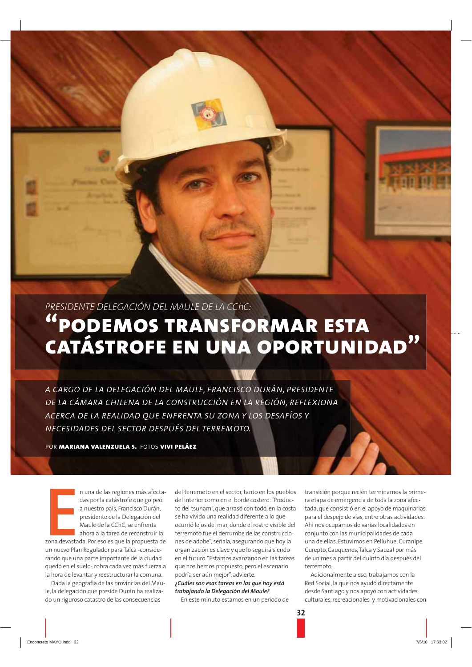PRESIDENTE DELEGACIÓN DEL MAULE DE LA CChC:

# "PODEMOS TRANSFORMAR ESTA **CATÁSTROFE EN UNA OPORTUNIDAD"**

A CARGO DE LA DELEGACIÓN DEL MAULE, FRANCISCO DURÁN, PRESIDENTE DE LA CÁMARA CHILENA DE LA CONSTRUCCIÓN EN LA REGIÓN, REFLEXIONA ACERCA DE LA REALIDAD OUE ENFRENTA SU ZONA Y LOS DESAFÍOS Y NECESIDADES DEL SECTOR DESPUÉS DEL TERREMOTO.

POR MARIANA VALENZUELA S. FOTOS VIVI PELÁEZ

n una de las regiones más afectadas por la catástrofe que golpeó a nuestro país, Francisco Durán, presidente de la Delegación del Maule de la CChC, se enfrenta ahora a la tarea de reconstruir la zona devastada. Por eso es que la propuesta de un nuevo Plan Regulador para Talca -considerando que una parte importante de la ciudad quedó en el suelo- cobra cada vez más fuerza a la hora de levantar y reestructurar la comuna.

Dada la geografía de las provincias del Maule, la delegación que preside Durán ha realizado un riguroso catastro de las consecuencias

del terremoto en el sector tanto en los nueblos del interior como en el borde costero: "Producto del tsunami, que arrasó con todo, en la costa se ha vivido una realidad diferente a lo que ocurrió lejos del mar, donde el rostro visible del terremoto fue el derrumbe de las construcciones de adobe", señala, asegurando que hoy la organización es clave y que lo seguirá siendo en el futuro. "Estamos avanzando en las tareas que nos hemos propuesto, pero el escenario podría ser aún mejor", advierte. ¿Cuáles son esas tareas en las aue hov está trabajando la Delegación del Maule?

En este minuto estamos en un periodo de

transición porque recién terminamos la primera etapa de emergencia de toda la zona afectada, que consistió en el apoyo de maquinarias para el despeje de vías, entre otras actividades. Ahí nos ocupamos de varias localidades en conjunto con las municipalidades de cada una de ellas. Estuvimos en Pelluhue, Curanipe, Curepto, Cauquenes, Talca y Sauzal por más de un mes a partir del quinto día después del terremoto

Adicionalmente a eso, trabajamos con la Red Social, la que nos ayudó directamente desde Santiago y nos apoyó con actividades culturales, recreacionales y motivacionales con

 $32$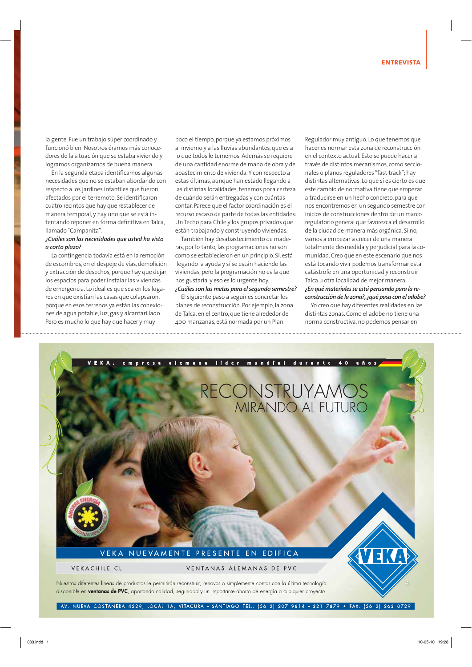la gente. Fue un trabajo súper coordinado y funcionó bien. Nosotros éramos más conocedores de la situación que se estaba viviendo y logramos organizarnos de buena manera.

En la segunda etapa identificamos algunas necesidades que no se estaban abordando con respecto a los jardines infantiles que fueron afectados por el terremoto. Se identificaron cuatro recintos que hay que restablecer de manera temporal, y hay uno que se está intentando reponer en forma definitiva en Talca, llamado "Campanita".

#### ¿Cuáles son las necesidades que usted ha visto a corto plazo?

La contingencia todavía está en la remoción de escombros, en el despeje de vías, demolición y extracción de desechos, porque hay que dejar los espacios para poder instalar las viviendas de emergencia. Lo ideal es que sea en los lugares en que existían las casas que colapsaron, porque en esos terrenos ya están las conexiones de agua potable, luz, gas y alcantarillado. Pero es mucho lo que hay que hacer y muy

poco el tiempo, porque ya estamos próximos al invierno y a las lluvias abundantes, que es a lo que todos le tememos. Además se requiere de una cantidad enorme de mano de obra y de abastecimiento de vivienda. Y con respecto a estas últimas, aunque han estado llegando a las distintas localidades, tenemos poca certeza de cuándo serán entregadas y con cuántas contar. Parece que el factor coordinación es el recurso escaso de parte de todas las entidades: Un Techo para Chile y los grupos privados que están trabajando y construyendo viviendas.

También hay desabastecimiento de maderas, por lo tanto, las programaciones no son como se establecieron en un principio. Sí, está llegando la ayuda y sí se están haciendo las viviendas, pero la programación no es la que nos gustaría, y eso es lo urgente hoy.

## ¿Cuáles son las metas para el segundo semestre?

El siguiente paso a seguir es concretar los planes de reconstrucción. Por ejemplo, la zona de Talca, en el centro, que tiene alrededor de 400 manzanas, está normada por un Plan

Regulador muy antiguo. Lo que tenemos que hacer es normar esta zona de reconstrucción en el contexto actual. Esto se puede hacer a través de distintos mecanismos, como seccionales o planos reguladores "fast track": hav distintas alternativas. Lo que sí es cierto es que este cambio de normativa tiene que empezar a traducirse en un hecho concreto, para que nos encontremos en un segundo semestre con inicios de construcciones dentro de un marco regulatorio general que favorezca el desarrollo de la ciudad de manera más orgánica. Si no, vamos a empezar a crecer de una manera totalmente desmedida y perjudicial para la comunidad. Creo que en este escenario que nos está tocando vivir podemos transformar esta catástrofe en una oportunidad y reconstruir Talca u otra localidad de mejor manera. ¿En qué materiales se está pensando para la reconstrucción de la zona?, ¿qué pasa con el adobe?

Yo creo que hay diferentes realidades en las distintas zonas. Como el adobe no tiene una norma constructiva, no podemos pensar en



AV. NUEVA COSTANERA 4229, LOCAL 1A, VITACURA - SANTIAGO TEL.: (56 2) 207 9814 - 321 7879 · FAX: (56 2) 263 0729